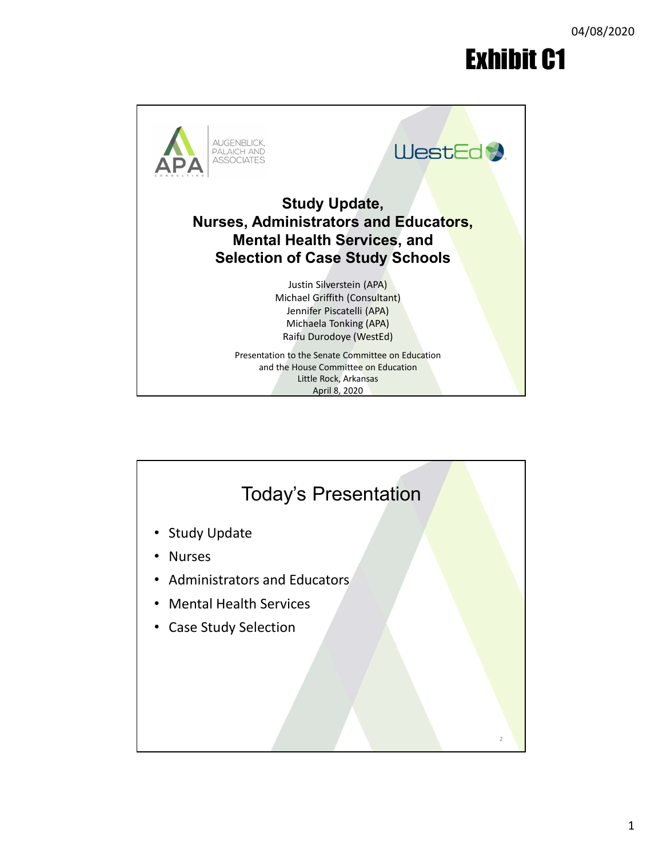## Exhibit C1



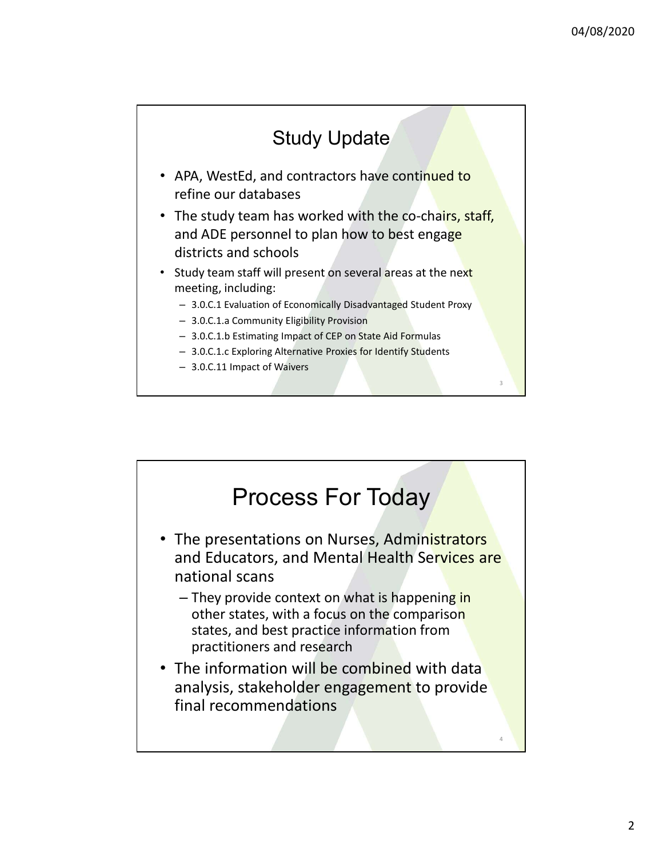